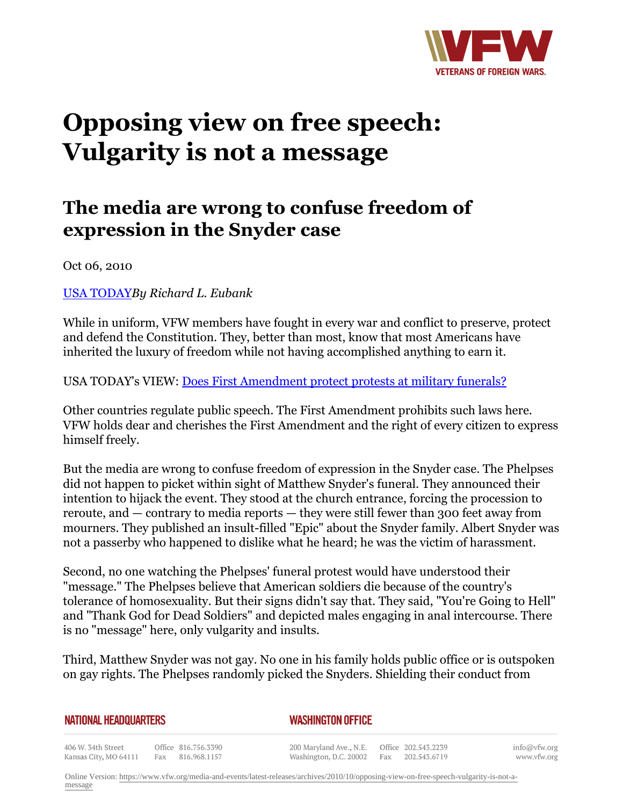

## **Opposing view on free speech: Vulgarity is not a message**

## **The media are wrong to confuse freedom of expression in the Snyder case**

Oct 06, 2010

[USA TODAY](http:http://www.usatoday.com/news/opinion/editorials/2010-10-06-editorial06_ST1_N.htm)*By Richard L. Eubank*

While in uniform, VFW members have fought in every war and conflict to preserve, protect and defend the Constitution. They, better than most, know that most Americans have inherited the luxury of freedom while not having accomplished anything to earn it.

USA TODAY's VIEW: [Does First Amendment protect protests at military funerals?](http:http://www.usatoday.com/news/opinion/editorials/2010-10-06-editorial06_ST_N.htm)

Other countries regulate public speech. The First Amendment prohibits such laws here. VFW holds dear and cherishes the First Amendment and the right of every citizen to express himself freely.

But the media are wrong to confuse freedom of expression in the Snyder case. The Phelpses did not happen to picket within sight of Matthew Snyder's funeral. They announced their intention to hijack the event. They stood at the church entrance, forcing the procession to reroute, and — contrary to media reports — they were still fewer than 300 feet away from mourners. They published an insult-filled "Epic" about the Snyder family. Albert Snyder was not a passerby who happened to dislike what he heard; he was the victim of harassment.

Second, no one watching the Phelpses' funeral protest would have understood their "message." The Phelpses believe that American soldiers die because of the country's tolerance of homosexuality. But their signs didn't say that. They said, "You're Going to Hell" and "Thank God for Dead Soldiers" and depicted males engaging in anal intercourse. There is no "message" here, only vulgarity and insults.

Third, Matthew Snyder was not gay. No one in his family holds public office or is outspoken on gay rights. The Phelpses randomly picked the Snyders. Shielding their conduct from

| <b>NATIONAL HEADQUARTERS</b> |                                              | <b>WASHINGTON OFFICE</b> |
|------------------------------|----------------------------------------------|--------------------------|
|                              | $\sim$ 00 $\sim$ 0.4 $\leq$ = $\sim$ = = 0.0 |                          |

406 W. 34th Street Office 816.756.3390 Kansas City, MO 64111 Fax 816.968.1157 info@vfw.org www.vfw.org

Online Version: [https://www.vfw.org/media-and-events/latest-releases/archives/2010/10/opposing-view-on-free-speech-vulgarity-is-not-a](https://www.vfw.org/media-and-events/latest-releases/archives/2010/10/opposing-view-on-free-speech-vulgarity-is-not-a-message)[message](https://www.vfw.org/media-and-events/latest-releases/archives/2010/10/opposing-view-on-free-speech-vulgarity-is-not-a-message)